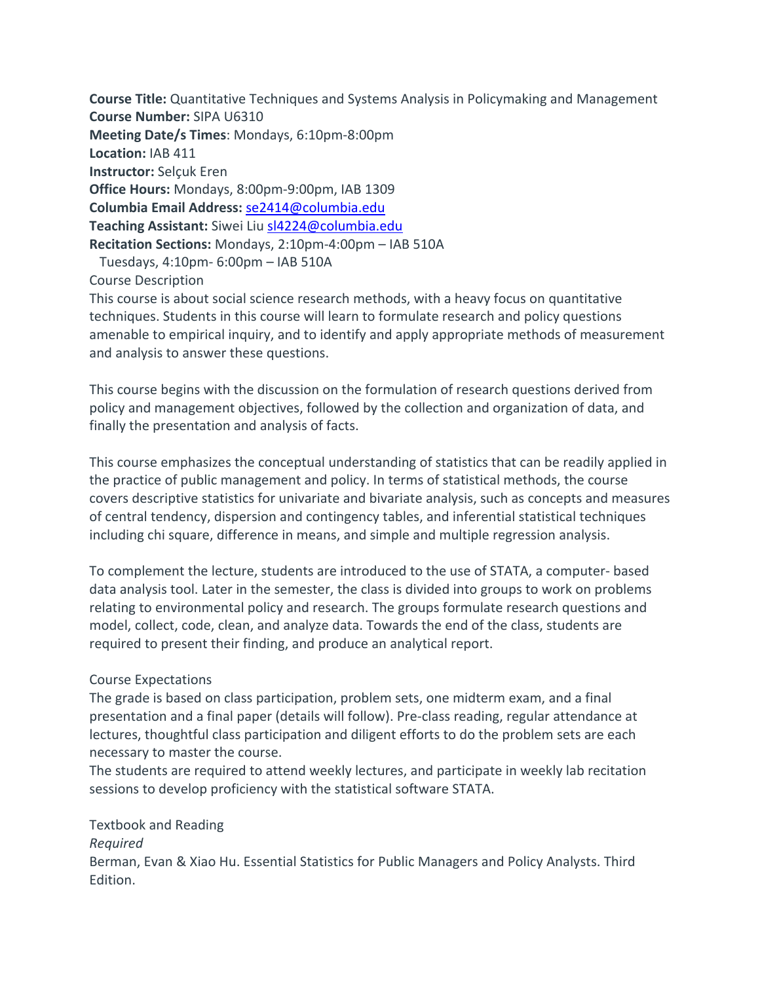**Course Title:** Quantitative Techniques and Systems Analysis in Policymaking and Management **Course Number:** SIPA U6310 **Meeting Date/s Times**: Mondays, 6:10pm-8:00pm **Location:** IAB 411 **Instructor:** Selçuk Eren **Office Hours:** Mondays, 8:00pm-9:00pm, IAB 1309 **Columbia Email Address:** se2414@columbia.edu **Teaching Assistant:** Siwei Liu sl4224@columbia.edu **Recitation Sections:** Mondays, 2:10pm-4:00pm – IAB 510A Tuesdays, 4:10pm- 6:00pm – IAB 510A Course Description

This course is about social science research methods, with a heavy focus on quantitative techniques. Students in this course will learn to formulate research and policy questions amenable to empirical inquiry, and to identify and apply appropriate methods of measurement and analysis to answer these questions.

This course begins with the discussion on the formulation of research questions derived from policy and management objectives, followed by the collection and organization of data, and finally the presentation and analysis of facts.

This course emphasizes the conceptual understanding of statistics that can be readily applied in the practice of public management and policy. In terms of statistical methods, the course covers descriptive statistics for univariate and bivariate analysis, such as concepts and measures of central tendency, dispersion and contingency tables, and inferential statistical techniques including chi square, difference in means, and simple and multiple regression analysis.

To complement the lecture, students are introduced to the use of STATA, a computer- based data analysis tool. Later in the semester, the class is divided into groups to work on problems relating to environmental policy and research. The groups formulate research questions and model, collect, code, clean, and analyze data. Towards the end of the class, students are required to present their finding, and produce an analytical report.

### Course Expectations

The grade is based on class participation, problem sets, one midterm exam, and a final presentation and a final paper (details will follow). Pre-class reading, regular attendance at lectures, thoughtful class participation and diligent efforts to do the problem sets are each necessary to master the course.

The students are required to attend weekly lectures, and participate in weekly lab recitation sessions to develop proficiency with the statistical software STATA.

# Textbook and Reading

### *Required*

Berman, Evan & Xiao Hu. Essential Statistics for Public Managers and Policy Analysts. Third Edition.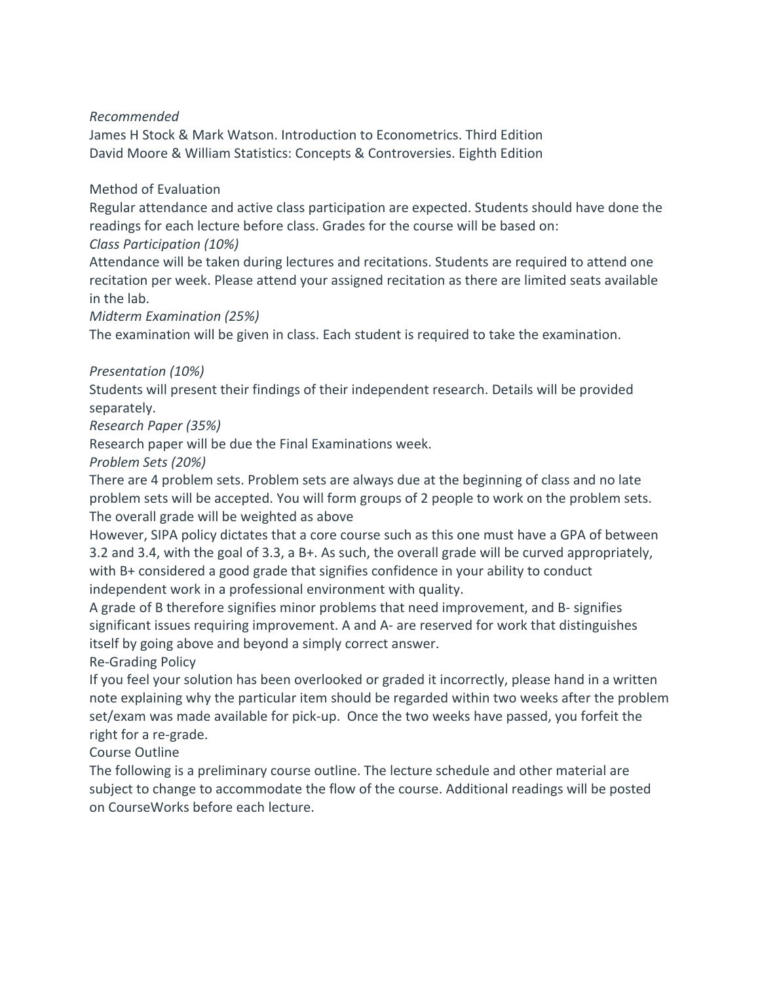### *Recommended*

James H Stock & Mark Watson. Introduction to Econometrics. Third Edition David Moore & William Statistics: Concepts & Controversies. Eighth Edition

### Method of Evaluation

Regular attendance and active class participation are expected. Students should have done the readings for each lecture before class. Grades for the course will be based on:

# *Class Participation (10%)*

Attendance will be taken during lectures and recitations. Students are required to attend one recitation per week. Please attend your assigned recitation as there are limited seats available in the lab.

# *Midterm Examination (25%)*

The examination will be given in class. Each student is required to take the examination.

# *Presentation (10%)*

Students will present their findings of their independent research. Details will be provided separately.

# *Research Paper (35%)*

Research paper will be due the Final Examinations week.

*Problem Sets (20%)*

There are 4 problem sets. Problem sets are always due at the beginning of class and no late problem sets will be accepted. You will form groups of 2 people to work on the problem sets. The overall grade will be weighted as above

However, SIPA policy dictates that a core course such as this one must have a GPA of between 3.2 and 3.4, with the goal of 3.3, a B+. As such, the overall grade will be curved appropriately, with B+ considered a good grade that signifies confidence in your ability to conduct independent work in a professional environment with quality.

A grade of B therefore signifies minor problems that need improvement, and B- signifies significant issues requiring improvement. A and A- are reserved for work that distinguishes itself by going above and beyond a simply correct answer.

Re-Grading Policy

If you feel your solution has been overlooked or graded it incorrectly, please hand in a written note explaining why the particular item should be regarded within two weeks after the problem set/exam was made available for pick-up. Once the two weeks have passed, you forfeit the right for a re-grade.

Course Outline

The following is a preliminary course outline. The lecture schedule and other material are subject to change to accommodate the flow of the course. Additional readings will be posted on CourseWorks before each lecture.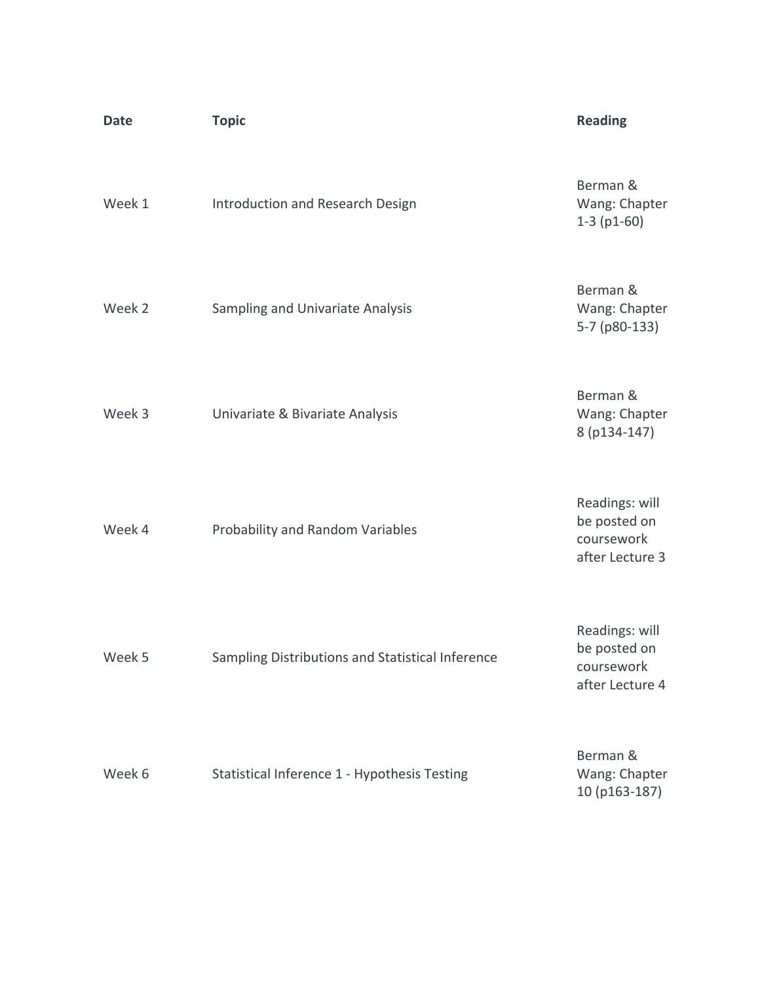| <b>Date</b> | <b>Topic</b>                                     | <b>Reading</b>                                                  |
|-------------|--------------------------------------------------|-----------------------------------------------------------------|
| Week 1      | Introduction and Research Design                 | Berman &<br>Wang: Chapter<br>$1-3$ (p1-60)                      |
| Week 2      | Sampling and Univariate Analysis                 | Berman &<br>Wang: Chapter<br>5-7 (p80-133)                      |
| Week 3      | Univariate & Bivariate Analysis                  | Berman &<br>Wang: Chapter<br>8 (p134-147)                       |
| Week 4      | Probability and Random Variables                 | Readings: will<br>be posted on<br>coursework<br>after Lecture 3 |
| Week 5      | Sampling Distributions and Statistical Inference | Readings: will<br>be posted on<br>coursework<br>after Lecture 4 |
| Week 6      | Statistical Inference 1 - Hypothesis Testing     | Berman &<br>Wang: Chapter<br>10 (p163-187)                      |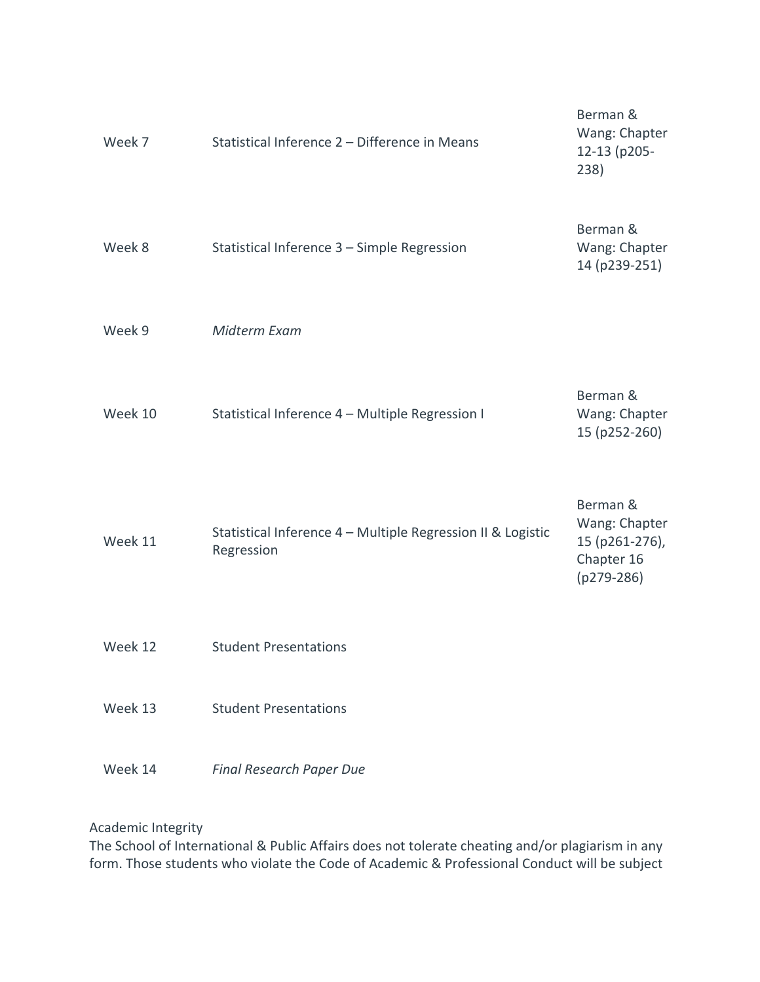| Week 7  | Statistical Inference 2 - Difference in Means                             | Berman &<br>Wang: Chapter<br>12-13 (p205-<br>238)                         |
|---------|---------------------------------------------------------------------------|---------------------------------------------------------------------------|
| Week 8  | Statistical Inference 3 - Simple Regression                               | Berman &<br>Wang: Chapter<br>14 (p239-251)                                |
| Week 9  | Midterm Exam                                                              |                                                                           |
| Week 10 | Statistical Inference 4 - Multiple Regression I                           | Berman &<br>Wang: Chapter<br>15 (p252-260)                                |
| Week 11 | Statistical Inference 4 - Multiple Regression II & Logistic<br>Regression | Berman &<br>Wang: Chapter<br>15 (p261-276),<br>Chapter 16<br>$(p279-286)$ |
| Week 12 | <b>Student Presentations</b>                                              |                                                                           |
| Week 13 | <b>Student Presentations</b>                                              |                                                                           |
| Week 14 | <b>Final Research Paper Due</b>                                           |                                                                           |

Academic Integrity

The School of International & Public Affairs does not tolerate cheating and/or plagiarism in any form. Those students who violate the Code of Academic & Professional Conduct will be subject